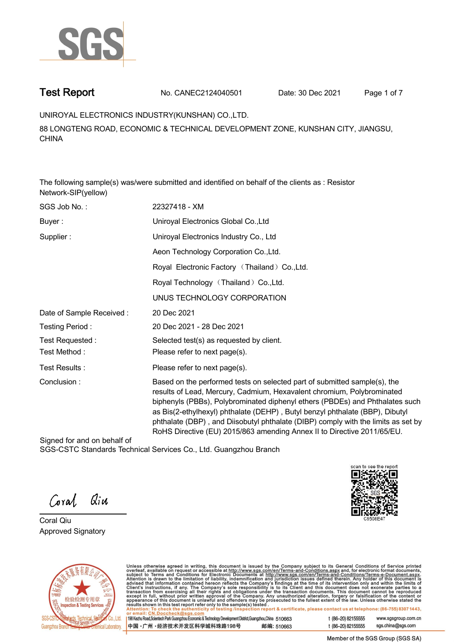

**Test Report. No. CANEC2124040501 Date: 30 Dec 2021. Page 1 of 7.**

**UNIROYAL ELECTRONICS INDUSTRY(KUNSHAN) CO.,LTD. .**

**88 LONGTENG ROAD, ECONOMIC & TECHNICAL DEVELOPMENT ZONE, KUNSHAN CITY, JIANGSU, CHINA**

**The following sample(s) was/were submitted and identified on behalf of the clients as : Resistor Network-SIP(yellow).**

| SGS Job No.:             | 22327418 - XM                                                                                                                                                                                                                                                                                                                                                                                                                                                                       |
|--------------------------|-------------------------------------------------------------------------------------------------------------------------------------------------------------------------------------------------------------------------------------------------------------------------------------------------------------------------------------------------------------------------------------------------------------------------------------------------------------------------------------|
| Buyer:                   | Uniroyal Electronics Global Co., Ltd                                                                                                                                                                                                                                                                                                                                                                                                                                                |
| Supplier:                | Uniroyal Electronics Industry Co., Ltd                                                                                                                                                                                                                                                                                                                                                                                                                                              |
|                          | Aeon Technology Corporation Co., Ltd.                                                                                                                                                                                                                                                                                                                                                                                                                                               |
|                          | Royal Electronic Factory (Thailand) Co., Ltd.                                                                                                                                                                                                                                                                                                                                                                                                                                       |
|                          | Royal Technology (Thailand) Co., Ltd.                                                                                                                                                                                                                                                                                                                                                                                                                                               |
|                          | UNUS TECHNOLOGY CORPORATION                                                                                                                                                                                                                                                                                                                                                                                                                                                         |
| Date of Sample Received: | 20 Dec 2021                                                                                                                                                                                                                                                                                                                                                                                                                                                                         |
| Testing Period:          | 20 Dec 2021 - 28 Dec 2021                                                                                                                                                                                                                                                                                                                                                                                                                                                           |
| Test Requested:          | Selected test(s) as requested by client.                                                                                                                                                                                                                                                                                                                                                                                                                                            |
| Test Method :            | Please refer to next page(s).                                                                                                                                                                                                                                                                                                                                                                                                                                                       |
| Test Results :           | Please refer to next page(s).                                                                                                                                                                                                                                                                                                                                                                                                                                                       |
| Conclusion:              | Based on the performed tests on selected part of submitted sample(s), the<br>results of Lead, Mercury, Cadmium, Hexavalent chromium, Polybrominated<br>biphenyls (PBBs), Polybrominated diphenyl ethers (PBDEs) and Phthalates such<br>as Bis(2-ethylhexyl) phthalate (DEHP), Butyl benzyl phthalate (BBP), Dibutyl<br>phthalate (DBP), and Diisobutyl phthalate (DIBP) comply with the limits as set by<br>RoHS Directive (EU) 2015/863 amending Annex II to Directive 2011/65/EU. |

Signed for and on behalf of SGS-CSTC Standards Technical Services Co., Ltd. Guangzhou Branch.

Qiu Coral

**Coral Qiu . Approved Signatory .**





Unless otherwise agreed in writing, this document is issued by the Company subject to its General Conditions of Service printed<br>overleaf, available on request or accessible at http://www.sgs.com/en/Terms-and-Conditions.as

| 198 Kezhu Road, Scientech Park Guangzhou Economic & Technology Development District, Guangzhou, China 510663 |            |
|--------------------------------------------------------------------------------------------------------------|------------|
| 中国 •广州 •经济技术开发区科学城科珠路198号                                                                                    | 邮编: 510663 |

t (86-20) 82155555 www.sgsgroup.com.cn t (86-20) 82155555 sgs.china@sgs.com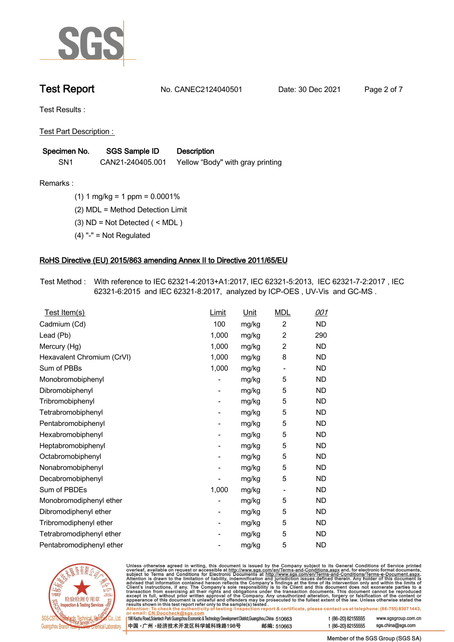

**Test Report. No. CANEC2124040501 Date: 30 Dec 2021. Page 2 of 7.**

**Test Results :.**

**Test Part Description : .**

| Specimen No.    | SGS Sample ID    | <b>Description</b>               |  |
|-----------------|------------------|----------------------------------|--|
| SN <sub>1</sub> | CAN21-240405.001 | Yellow "Body" with gray printing |  |

**Remarks :.(1) 1 mg/kg = 1 ppm = 0.0001% .**

**(2) MDL = Method Detection Limit .**

**(3) ND = Not Detected ( < MDL ) .**

**(4) "-" = Not Regulated .**

## **RoHS Directive (EU) 2015/863 amending Annex II to Directive 2011/65/EU.**

**Test Method :. With reference to IEC 62321-4:2013+A1:2017, IEC 62321-5:2013, IEC 62321-7-2:2017 , IEC 62321-6:2015 and IEC 62321-8:2017, analyzed by ICP-OES , UV-Vis and GC-MS . .**

| Test Item(s)               | Limit                    | Unit  | <b>MDL</b>                   | 001       |
|----------------------------|--------------------------|-------|------------------------------|-----------|
| Cadmium (Cd)               | 100                      | mg/kg | $\overline{c}$               | <b>ND</b> |
| Lead (Pb)                  | 1,000                    | mg/kg | $\overline{c}$               | 290       |
| Mercury (Hg)               | 1,000                    | mg/kg | $\overline{2}$               | <b>ND</b> |
| Hexavalent Chromium (CrVI) | 1,000                    | mg/kg | 8                            | <b>ND</b> |
| Sum of PBBs                | 1,000                    | mg/kg | $\qquad \qquad \blacksquare$ | <b>ND</b> |
| Monobromobiphenyl          |                          | mg/kg | 5                            | <b>ND</b> |
| Dibromobiphenyl            | -                        | mg/kg | 5                            | ND        |
| Tribromobiphenyl           | $\overline{\phantom{a}}$ | mg/kg | 5                            | <b>ND</b> |
| Tetrabromobiphenyl         |                          | mg/kg | 5                            | <b>ND</b> |
| Pentabromobiphenyl         | -                        | mg/kg | 5                            | <b>ND</b> |
| Hexabromobiphenyl          |                          | mg/kg | 5                            | <b>ND</b> |
| Heptabromobiphenyl         |                          | mg/kg | 5                            | <b>ND</b> |
| Octabromobiphenyl          | -                        | mg/kg | 5                            | <b>ND</b> |
| Nonabromobiphenyl          |                          | mg/kg | 5                            | <b>ND</b> |
| Decabromobiphenyl          |                          | mg/kg | 5                            | <b>ND</b> |
| Sum of PBDEs               | 1,000                    | mg/kg | $\qquad \qquad \blacksquare$ | <b>ND</b> |
| Monobromodiphenyl ether    |                          | mg/kg | 5                            | <b>ND</b> |
| Dibromodiphenyl ether      |                          | mg/kg | 5                            | <b>ND</b> |
| Tribromodiphenyl ether     | -                        | mg/kg | 5                            | ND.       |
| Tetrabromodiphenyl ether   |                          | mg/kg | 5                            | <b>ND</b> |
| Pentabromodiphenyl ether   |                          | mg/kg | 5                            | <b>ND</b> |
|                            |                          |       |                              |           |



Unless otherwise agreed in writing, this document is issued by the Company subject to its General Conditions of Service printed overleaf, available on request or accessible at http://www.sgs.com/en/Terms-and-Conditions.as

| or email: CN.Doccheck@sgs.com                                                                                |            |                    |                     |
|--------------------------------------------------------------------------------------------------------------|------------|--------------------|---------------------|
| 198 Kezhu Road, Scientech Park Guangzhou Economic & Technology Development District, Guangzhou, China 510663 |            | t (86-20) 82155555 | www.sgsgroup.com.cl |
| ┃中国 •广州 •经济技术开发区科学城科珠路198号 ↓                                                                                 | 邮编: 510663 | t (86-20) 82155555 | sgs.china@sgs.com   |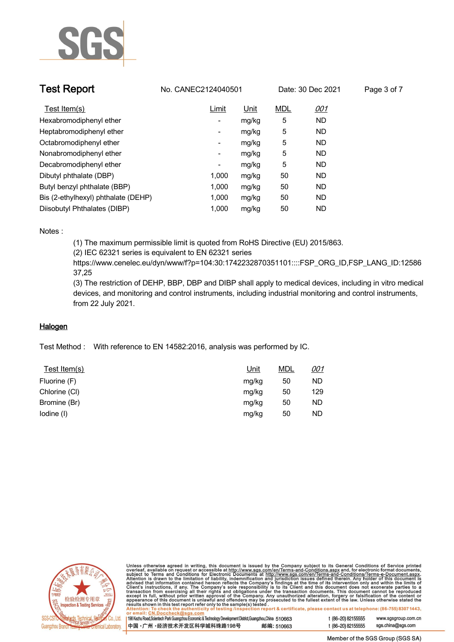

| <b>Test Report</b>                  | No. CANEC2124040501      |       |            | Date: 30 Dec 2021 | Page 3 of 7 |
|-------------------------------------|--------------------------|-------|------------|-------------------|-------------|
| Test Item(s)                        | Limit                    | Unit  | <b>MDL</b> | <u>001</u>        |             |
| Hexabromodiphenyl ether             | $\overline{\phantom{a}}$ | mg/kg | 5          | ND.               |             |
| Heptabromodiphenyl ether            | $\overline{\phantom{a}}$ | mg/kg | 5          | ND.               |             |
| Octabromodiphenyl ether             | $\overline{\phantom{a}}$ | mg/kg | 5          | ND.               |             |
| Nonabromodiphenyl ether             | $\overline{\phantom{a}}$ | mg/kg | 5          | ND.               |             |
| Decabromodiphenyl ether             | -                        | mg/kg | 5          | ND.               |             |
| Dibutyl phthalate (DBP)             | 1,000                    | mg/kg | 50         | ND.               |             |
| Butyl benzyl phthalate (BBP)        | 1.000                    | mg/kg | 50         | ND.               |             |
| Bis (2-ethylhexyl) phthalate (DEHP) | 1.000                    | mg/kg | 50         | ND.               |             |
| Diisobutyl Phthalates (DIBP)        | 1.000                    | mg/kg | 50         | ND.               |             |

## **Notes :.**

**(1) The maximum permissible limit is quoted from RoHS Directive (EU) 2015/863.**

**(2) IEC 62321 series is equivalent to EN 62321 series**

**https://www.cenelec.eu/dyn/www/f?p=104:30:1742232870351101::::FSP\_ORG\_ID,FSP\_LANG\_ID:12586 37,25**

**(3) The restriction of DEHP, BBP, DBP and DIBP shall apply to medical devices, including in vitro medical devices, and monitoring and control instruments, including industrial monitoring and control instruments, from 22 July 2021..**

## **Halogen.**

**Test Method :. With reference to EN 14582:2016, analysis was performed by IC. .**

| Test Item(s)  | Unit  | <b>MDL</b> | <u>001</u> |
|---------------|-------|------------|------------|
| Fluorine (F)  | mg/kg | 50         | ND.        |
| Chlorine (CI) | mg/kg | 50         | 129        |
| Bromine (Br)  | mg/kg | 50         | ND.        |
| lodine (I)    | mg/kg | 50         | ND.        |



Unless otherwise agreed in writing, this document is issued by the Company subject to its General Conditions of Service printed<br>overleaf, available on request or accessible at http://www.sgs.com/en/Terms-and-Conditions.as

| 198 Kezhu Road,Scientech Park Guangzhou Economic & Technology Development District,Guangzhou,China 510663 |            |
|-----------------------------------------------------------------------------------------------------------|------------|
| 中国 •广州 •经济技术开发区科学城科珠路198号                                                                                 | 邮编: 510663 |

t (86-20) 82155555 www.sgsgroup.com.cn t (86-20) 82155555 sas.china@sas.com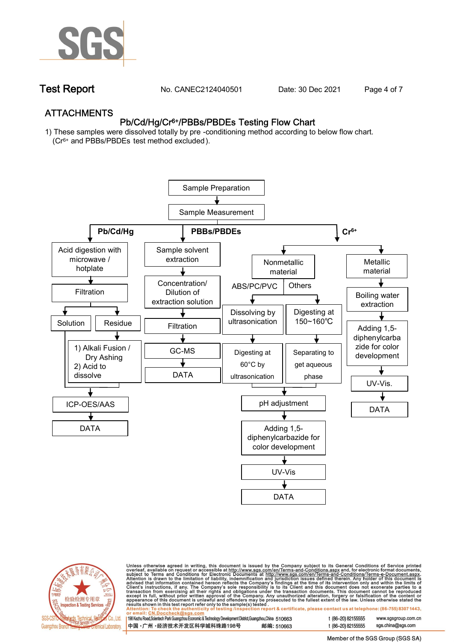

**Test Report. No. CANEC2124040501** Date: 30 Dec 2021 Page 4 of 7

## **ATTACHMENTS Pb/Cd/Hg/Cr6+/PBBs/PBDEs Testing Flow Chart**

**1) These samples were dissolved totally by pre -conditioning method according to below flow chart. (Cr6+ and PBBs/PBDEs test method excluded ).**





Unless otherwise agreed in writing, this document is issued by the Company subject to its General Conditions of Service printed<br>overleaf, available on request or accessible at <u>http://www.sgs.com/en/Terms-and-Conditions.a</u>

| 198 Kezhu Road,Scientech Park Guangzhou Economic & Technology Development District,Guangzhou,China   510663 |            |
|-------------------------------------------------------------------------------------------------------------|------------|
| 中国 •广州 •经济技术开发区科学城科珠路198号 ;                                                                                 | 邮编: 510663 |

t (86-20) 82155555 t (86-20) 82155555 sas.china@sas.com

www.sgsgroup.com.cn

Member of the SGS Group (SGS SA)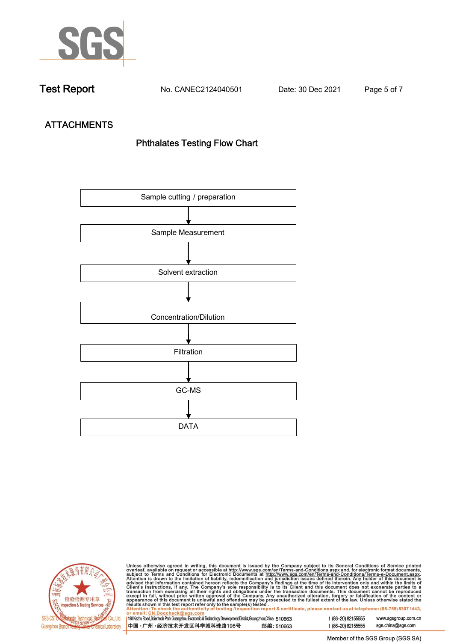

**Test Report. No. CANEC2124040501 Date: 30 Dec 2021. Page 5 of 7.**

# **ATTACHMENTS Phthalates Testing Flow Chart**





Unless otherwise agreed in writing, this document is issued by the Company subject to its General Conditions of Service printed<br>overleaf, available on request or accessible at http://www.sgs.com/en/Terms-and-Conditions.as

| <b>OF CHIAH. CN.DOCCHCCK@SYS.COM</b>                                                                         |            |
|--------------------------------------------------------------------------------------------------------------|------------|
| 198 Kezhu Road, Scientech Park Guangzhou Economic & Technology Development District, Guangzhou, China 510663 |            |
| ┃中国 •广州 •经济技术开发区科学城科珠路198号 ↓                                                                                 | 邮编: 510663 |

t (86-20) 82155555 sgs.china@sgs.com

www.sgsgroup.com.cn

Member of the SGS Group (SGS SA)

t (86-20) 82155555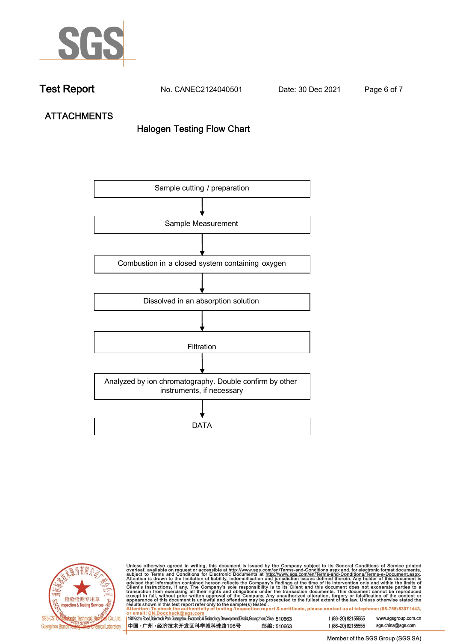

**Test Report. No. CANEC2124040501 Date: 30 Dec 2021. Page 6 of 7.**

**ATTACHMENTS Halogen Testing Flow Chart**





Unless otherwise agreed in writing, this document is issued by the Company subject to its General Conditions of Service printed<br>overleaf, available on request or accessible at http://www.sgs.com/en/Terms-and-Conditions.as

| 198 Kezhu Road,Scientech Park Guangzhou Economic & Technology Development District,Guangzhou,China 510663 |            |
|-----------------------------------------------------------------------------------------------------------|------------|
| 中国 •广州 •经济技术开发区科学城科珠路198号 »                                                                               | 邮编: 510663 |

t (86-20) 82155555 sgs.china@sgs.com

www.sgsgroup.com.cn

t (86-20) 82155555

Member of the SGS Group (SGS SA)